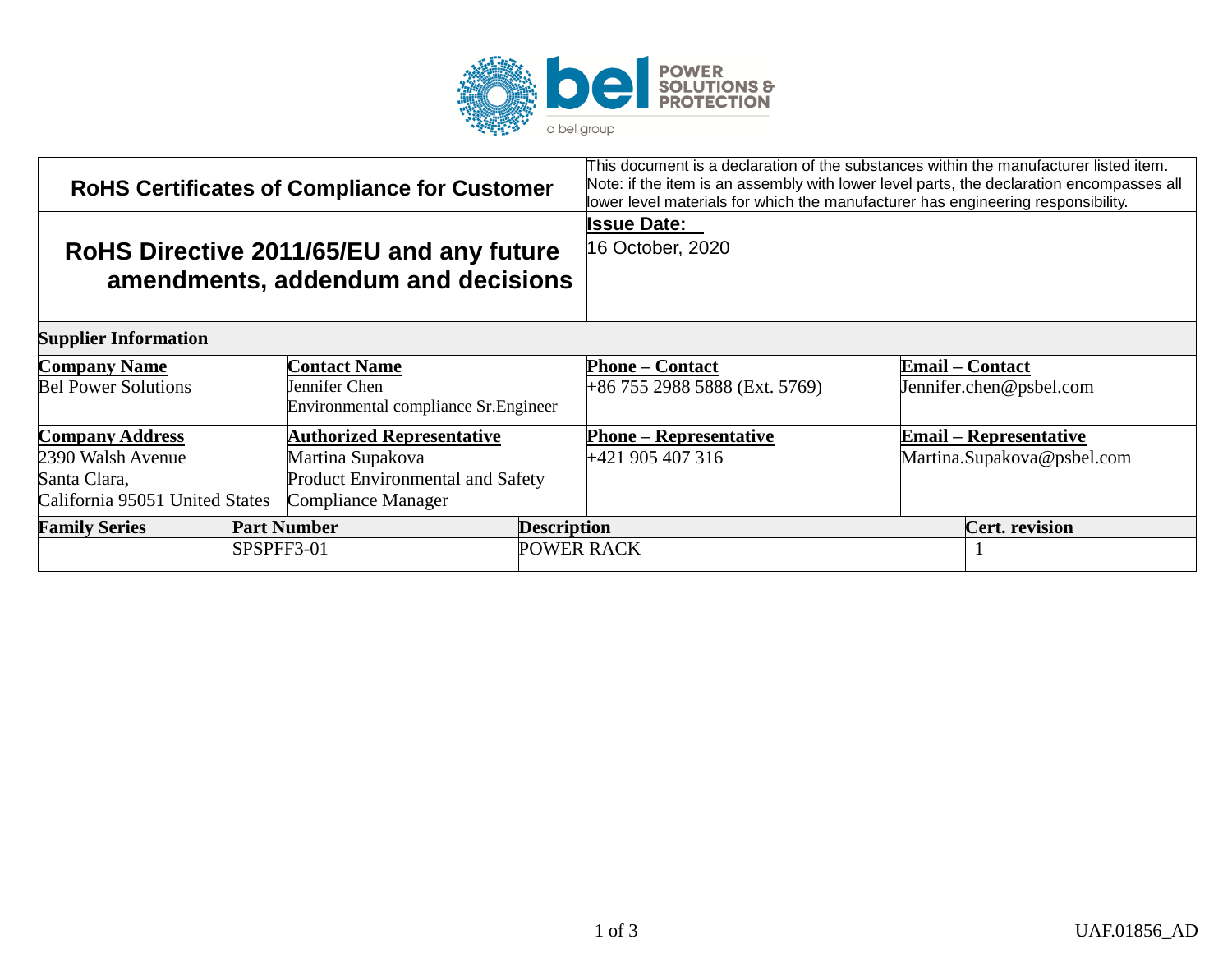

| <b>RoHS Certificates of Compliance for Customer</b> |                                                                                |                                        | This document is a declaration of the substances within the manufacturer listed item.<br>Note: if the item is an assembly with lower level parts, the declaration encompasses all<br>lower level materials for which the manufacturer has engineering responsibility. |  |
|-----------------------------------------------------|--------------------------------------------------------------------------------|----------------------------------------|-----------------------------------------------------------------------------------------------------------------------------------------------------------------------------------------------------------------------------------------------------------------------|--|
|                                                     | RoHS Directive 2011/65/EU and any future<br>amendments, addendum and decisions | <b>Issue Date:</b><br>16 October, 2020 |                                                                                                                                                                                                                                                                       |  |
| <b>Supplier Information</b>                         |                                                                                |                                        |                                                                                                                                                                                                                                                                       |  |
| <b>Company Name</b>                                 | <b>Contact Name</b>                                                            | <b>Phone – Contact</b>                 | <b>Email – Contact</b>                                                                                                                                                                                                                                                |  |
| <b>Bel Power Solutions</b>                          | Jennifer Chen<br>Environmental compliance Sr. Engineer                         | +86 755 2988 5888 (Ext. 5769)          | Jennifer.chen@psbel.com                                                                                                                                                                                                                                               |  |
| <b>Company Address</b>                              | <b>Authorized Representative</b>                                               | <b>Phone – Representative</b>          | <b>Email – Representative</b>                                                                                                                                                                                                                                         |  |
| 2390 Walsh Avenue                                   | Martina Supakova                                                               | +421 905 407 316                       | Martina.Supakova@psbel.com                                                                                                                                                                                                                                            |  |
| Santa Clara,                                        | Product Environmental and Safety                                               |                                        |                                                                                                                                                                                                                                                                       |  |
| California 95051 United States                      | <b>Compliance Manager</b>                                                      |                                        |                                                                                                                                                                                                                                                                       |  |
| <b>Family Series</b>                                | <b>Part Number</b>                                                             | <b>Description</b>                     | <b>Cert.</b> revision                                                                                                                                                                                                                                                 |  |
|                                                     | SPSPFF3-01                                                                     | <b>POWER RACK</b>                      |                                                                                                                                                                                                                                                                       |  |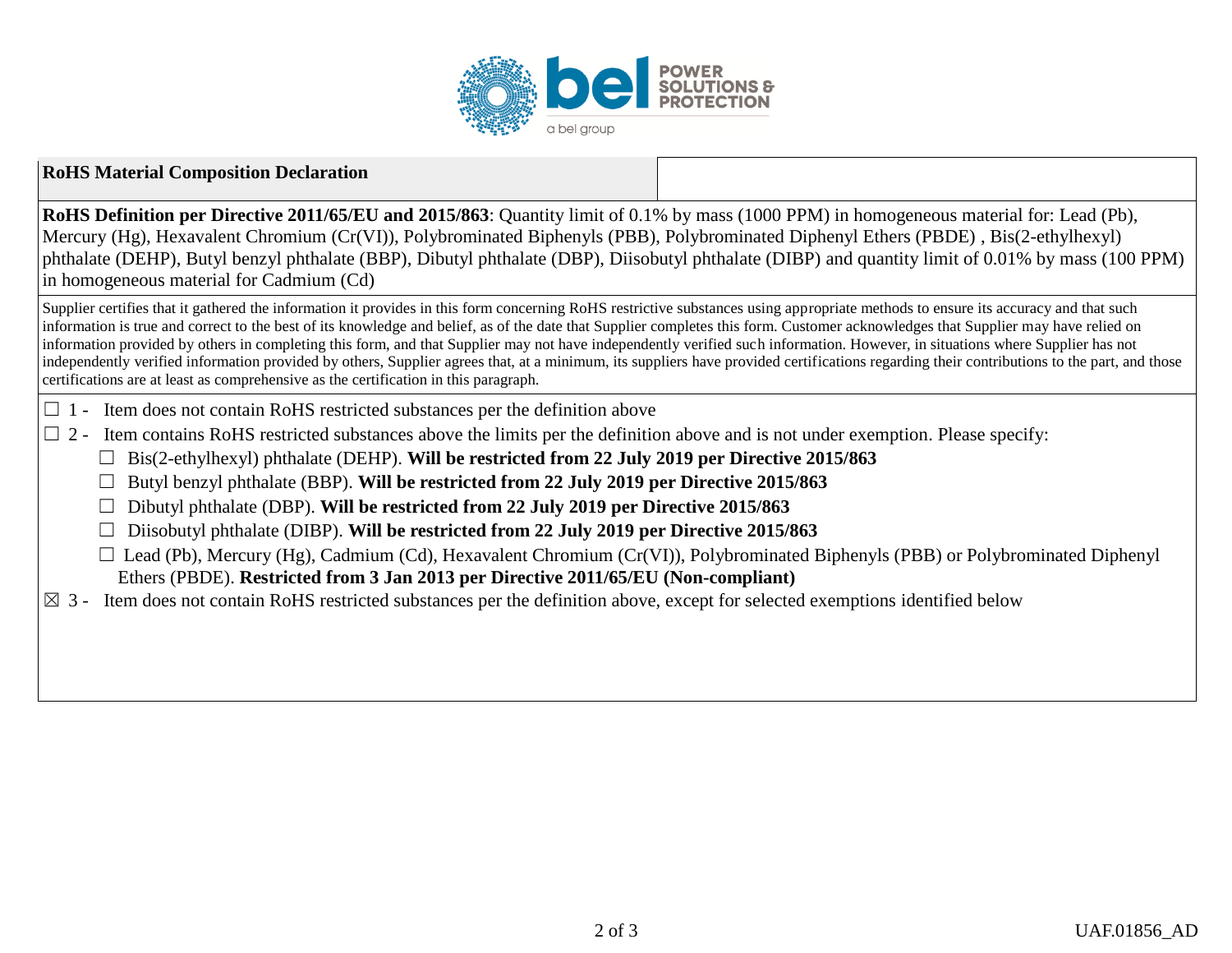

## **RoHS Material Composition Declaration**

**RoHS Definition per Directive 2011/65/EU and 2015/863**: Quantity limit of 0.1% by mass (1000 PPM) in homogeneous material for: Lead (Pb), Mercury (Hg), Hexavalent Chromium (Cr(VI)), Polybrominated Biphenyls (PBB), Polybrominated Diphenyl Ethers (PBDE) , Bis(2-ethylhexyl) phthalate (DEHP), Butyl benzyl phthalate (BBP), Dibutyl phthalate (DBP), Diisobutyl phthalate (DIBP) and quantity limit of 0.01% by mass (100 PPM) in homogeneous material for Cadmium (Cd)

Supplier certifies that it gathered the information it provides in this form concerning RoHS restrictive substances using appropriate methods to ensure its accuracy and that such information is true and correct to the best of its knowledge and belief, as of the date that Supplier completes this form. Customer acknowledges that Supplier may have relied on information provided by others in completing this form, and that Supplier may not have independently verified such information. However, in situations where Supplier has not independently verified information provided by others, Supplier agrees that, at a minimum, its suppliers have provided certifications regarding their contributions to the part, and those certifications are at least as comprehensive as the certification in this paragraph.

- $\Box$  1 Item does not contain RoHS restricted substances per the definition above
- $\Box$  2 Item contains RoHS restricted substances above the limits per the definition above and is not under exemption. Please specify:
	- ☐ Bis(2-ethylhexyl) phthalate (DEHP). **Will be restricted from 22 July 2019 per Directive 2015/863**
	- ☐ Butyl benzyl phthalate (BBP). **Will be restricted from 22 July 2019 per Directive 2015/863**
	- ☐ Dibutyl phthalate (DBP). **Will be restricted from 22 July 2019 per Directive 2015/863**
	- ☐ Diisobutyl phthalate (DIBP). **Will be restricted from 22 July 2019 per Directive 2015/863**
	- $\Box$  Lead (Pb), Mercury (Hg), Cadmium (Cd), Hexavalent Chromium (Cr(VI)), Polybrominated Biphenyls (PBB) or Polybrominated Diphenyl Ethers (PBDE). **Restricted from 3 Jan 2013 per Directive 2011/65/EU (Non-compliant)**
- $\boxtimes$  3 Item does not contain RoHS restricted substances per the definition above, except for selected exemptions identified below